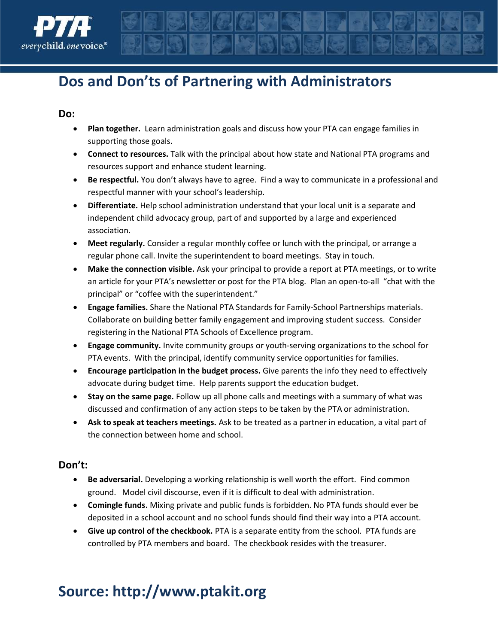

## Dos and Don'ts of Partnering with Administrators

#### Do:

- Plan together. Learn administration goals and discuss how your PTA can engage families in supporting those goals.
- Connect to resources. Talk with the principal about how state and National PTA programs and resources support and enhance student learning.
- Be respectful. You don't always have to agree. Find a way to communicate in a professional and respectful manner with your school's leadership.
- Differentiate. Help school administration understand that your local unit is a separate and independent child advocacy group, part of and supported by a large and experienced association.
- Meet regularly. Consider a regular monthly coffee or lunch with the principal, or arrange a regular phone call. Invite the superintendent to board meetings. Stay in touch.
- Make the connection visible. Ask your principal to provide a report at PTA meetings, or to write an article for your PTA's newsletter or post for the PTA blog. Plan an open-to-all "chat with the principal" or "coffee with the superintendent."
- Engage families. Share the National PTA Standards for Family-School Partnerships materials. Collaborate on building better family engagement and improving student success. Consider registering in the National PTA Schools of Excellence program.
- **Engage community.** Invite community groups or youth-serving organizations to the school for PTA events. With the principal, identify community service opportunities for families.
- **Encourage participation in the budget process.** Give parents the info they need to effectively advocate during budget time. Help parents support the education budget.
- Stay on the same page. Follow up all phone calls and meetings with a summary of what was discussed and confirmation of any action steps to be taken by the PTA or administration.
- Ask to speak at teachers meetings. Ask to be treated as a partner in education, a vital part of the connection between home and school.

### Don't:

- Be adversarial. Developing a working relationship is well worth the effort. Find common ground. Model civil discourse, even if it is difficult to deal with administration.
- Comingle funds. Mixing private and public funds is forbidden. No PTA funds should ever be deposited in a school account and no school funds should find their way into a PTA account.
- Give up control of the checkbook. PTA is a separate entity from the school. PTA funds are controlled by PTA members and board. The checkbook resides with the treasurer.

# Source: http://www.ptakit.org